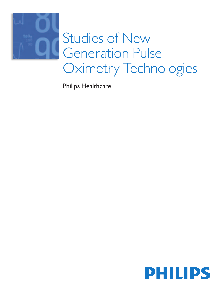

Philips Healthcare

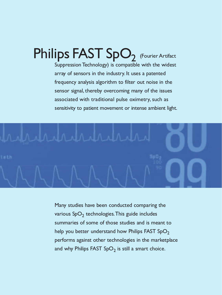Philips FAST SpO<sub>2</sub> (Fourier Artifact Suppression Technology) is compatible with the widest array of sensors in the industry. It uses a patented frequency analysis algorithm to filter out noise in the sensor signal, thereby overcoming many of the issues associated with traditional pulse oximetry, such as sensitivity to patient movement or intense ambient light.



Many studies have been conducted comparing the various SpO<sub>2</sub> technologies. This guide includes summaries of some of those studies and is meant to help you better understand how Philips FAST SpO<sub>2</sub> performs against other technologies in the marketplace and why Philips FAST  $SpO<sub>2</sub>$  is still a smart choice.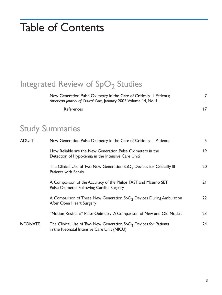# **Table of Contents**

# Integrated Review of SpO<sub>2</sub> Studies

New Generation Pulse Oximetry in the Care of Critically III Patients; American Journal of Critical Care, January 2005, Volume 14, No. 1 References  $17$ 

# **Study Summaries**

| <b>ADULT</b>   | New-Generation Pulse Oximetry in the Care of Critically III Patients                                               | 5  |
|----------------|--------------------------------------------------------------------------------------------------------------------|----|
|                | How Reliable are the New Generation Pulse Oximeters in the<br>Detection of Hypoxemia in the Intensive Care Unit?   | 19 |
|                | The Clinical Use of Two New Generation $SpO2$ Devices for Critically III<br>Patients with Sepsis                   | 20 |
|                | A Comparison of the Accuracy of the Philips FAST and Masimo SET<br><b>Pulse Oximeter Following Cardiac Surgery</b> | 21 |
|                | A Comparison of Three New Generation $SpO2$ Devices During Ambulation<br>After Open Heart Surgery                  | 22 |
|                | "Motion-Resistant" Pulse Oximetry: A Comparison of New and Old Models                                              | 23 |
| <b>NEONATE</b> | The Clinical Use of Two New Generation $SpO2$ Devices for Patients<br>in the Neonatal Intensive Care Unit (NICU)   | 24 |

 $\overline{7}$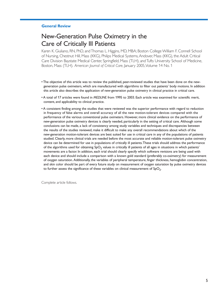#### **General Review**

# New-Generation Pulse Oximetry in the **Care of Critically III Patients**

Karen K. Giuliano, RN, PhD, and Thomas L. Higgins, MD, MBA; Boston College William F. Connell School of Nursing, Chestnut Hill, Mass (KKG), Philips Medical Systems, Andover, Mass (KKG), the Adult Critical Care Division Baystate Medical Center, Springfield, Mass (TLH), and Tufts University School of Medicine, Boston, Mass (TLH). American Journal of Critical Care, January 2005, Volume 14 No. 1

- . The objective of this article was to review the published, peer-reviewed studies that have been done on the newgeneration pulse oximeters, which are manufactured with algorithms to filter out patients' body motions. In addition this article also describes the application of new-generation pulse oximetry in clinical practice in critical care.
- A total of 17 articles were found in MEDLINE from 1995 to 2003. Each article was examined for scientific merit, content, and applicability to clinical practice.
- A consistent finding among the studies that were reviewed was the superior performance with regard to reduction in frequency of false alarms and overall accuracy of all the new motion-tolerant devices compared with the performance of the various conventional pulse oximeters. However, more clinical evidence on the performance of new-generation pulse oximetry devices is clearly needed, particularly in the setting of critical care. Although some conclusions can be made, a lack of consistency among study variables and techniques and discrepancies between the results of the studies reviewed, make it difficult to make any overall recommendations about which of the new-generation motion-tolerant devices are best suited for use in critical care in any of the populations of patients studied. Clearly, more clinical trials are needed before the most accurate and reliable motion-tolerant pulse oximetry device can be determined for use in populations of critically ill patients. These trials should address the performance of the algorithms used for obtaining  $SpO<sub>2</sub>$  values in critically ill patients of all ages in situations in which patients' movements are a factor. In addition, each trial should clearly specify which software revisions are being used with each device and should include a comparison with a known gold standard (preferably co-oximetry) for measurement of oxygen saturation. Additionally, the variables of peripheral temperature, finger thickness, hemoglobin concentration, and skin color should be part of every future study on measurement of oxygen saturation by pulse oximetry devices to further assess the significance of these variables on clinical measurement of  $SpO<sub>2</sub>$ .

Complete article follows.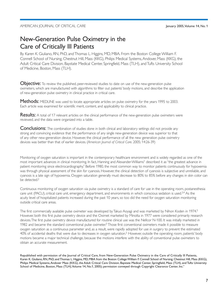# New-Generation Pulse Oximetry in the **Care of Critically III Patients**

By Karen K, Giuliano, RN, PhD, and Thomas L, Higgins, MD, MBA, From the Boston College William F. Connell School of Nursing, Chestnut Hill, Mass (KKG), Philips Medical Systems, Andover, Mass (KKG), the Adult Critical Care Division, Baystate Medical Center, Springfield, Mass (TLH), and Tufts University School of Medicine, Boston, Mass (TLH).

**Objective:** To review the published, peer-reviewed studies to date on use of the new-generation pulse oximeters, which are manufactured with algorithms to filter out patients' body motions, and describe the application of new-generation pulse oximetry in clinical practice in critical care.

Methods: MEDLINE was used to locate appropriate articles on pulse oximetry for the years 1995 to 2003. Each article was examined for scientific merit, content, and applicability to clinical practice.

**Results:** A total of 17 relevant articles on the clinical performance of the new-generation pulse oximeters were reviewed, and the data were organized into a table.

**Conclusions:** The combination of studies done in both clinical and laboratory settings did not provide any strong and convincing evidence that the performance of any single new-generation device was superior to that of any other new-generation device. However, the clinical performance of all the new generation pulse oximetry devices was better than that of earlier devices. (American Journal of Critical Care. 2005; 14:26-39)

Monitoring of oxygen saturation is important in the contemporary healthcare environment and is widely regarded as one of the most important advances in clinical monitoring. In fact, Hanning and Alexander-Williams<sup>1</sup> described it as "the greatest advance in patient monitoring since electrocardiography." Before 1980, the most common way to monitor patients continuously for hypoxemia was through physical assessment of the skin for cyanosis. However, the clinical detection of cyanosis is subjective and unreliable, and cyanosis is a late sign of hypoxemia. Oxygen saturation generally must decrease to 80% to 85% before any changes in skin color can be detected.<sup>2</sup>

Continuous monitoring of oxygen saturation via pulse oximetry is a standard of care for use in the operating room, postanesthesia care unit (PACU), critical care unit, emergency department, and environments in which conscious sedation is used.<sup>3,4</sup> As the acuity level of hospitalized patients increased during the past 10 years, so too did the need for oxygen saturation monitoring outside critical care areas.

The first commercially available pulse oximeter was developed by Takuo Aoyagi and was marketed by Nihon Koden in 1974.<sup>5</sup> However, both this first pulse oximetry device and the Oximet marketed by Minolta in 1977 were considered primarily research devices. The first pulse oximetry device manufactured for routine clinical use was the Nellcor N-100. It was initially marketed in 1982 and became the standard conventional pulse oximeter.<sup>5</sup> Those first conventional oximeters made it possible to measure oxygen saturation as a continuous parameter and, as a result, were rapidly adopted for use in surgery to prevent the estimated 40% of accidental deaths that were due to decreases in oxygen saturation.<sup>5</sup> However, outside the operating room, patients' body motions became a major technical challenge, because the motions interfere with the ability of conventional pulse oximeters to obtain an accurate measurement.

Republished with permission of the Journal of Critical Care, from New-Generation Pulse Oximetry in the Care of Critically III Patients, Karen K. Giuliano, RN, PhD, and Thomas L. Higgins, MD, MBA from the Boston College William F. Connell School of Nursing, Chestnut Hill, Mass (KKG), Philips Medical Systems, Andover Mass (KKG), the Adult Critical Care Division, Baystate Medical Center, Springfield, Mass (TLH), and Tufts University School of Medicine, Boston, Mass (TLH), Volume 14, No.1, 2005); permission conveyed through Copyright Clearance Center, Inc."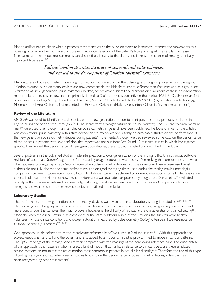Motion artifact occurs either when a patient's movements cause the pulse oximeter to incorrectly interpret the movements as a pulse signal or when the motion artifact prevents accurate detection of the patient's true pulse signal. The resultant increase in false alarms and erroneous measurements can desensitize clinicians to the alarms and increase the chance of missing a clinically important true alarm.<sup>6-8</sup>

### Patients' motion decreases accuracy of conventional pulse oximeters and has led to the development of "motion tolerant" oximeters.

Manufacturers of pulse oximeters have sought to reduce motion artifact in the pulse signal through improvements in the algorithms. "Motion tolerant" pulse oximetry devices are now commercially available from several different manufacturers, and as a group are referred to as "new generation" pulse oximeters. To date, peer-reviewed scientific publications on evaluations of these new-generation, motion-tolerant devices are few and are primarily limited to 3 of the devices currently on the market: FAST SpO<sub>2</sub> (Fourier artifact suppression technology SpO<sub>2</sub>; Philips Medical Systems, Andover, Mass; first marketed in 1999), SET (signal extraction technology; Masimo Corp, Irvine, California; first marketed in 1998), and Oxismart (Nellcor, Pleasanton, California; first marketed in 1994).

#### **Review of the Literature**

MEDLINE was used to identify research studies on the new-generation motion-tolerant pulse oximetry products published in English during the period 1995 through 2004. The search terms "oxygen saturation," "pulse oximetry," "SpO<sub>2</sub>," and "oxygen measurement" were used. Even though many articles on pulse oximetry in general have been published, the focus of most of the articles was conventional pulse oximetry. In this state-of-the-science review, we focus solely on data-based studies on the performance of the new-generation pulse oximetry devices during patients' movements. Although we also reviewed some data on the performance of the devices in patients with low perfusion, that aspect was not our focus. We found 17 research studies in which investigators specifically examined the performance of new-generation devices; these studies are listed and described in the Table.

Several problems in the published studies made interpretation and/or generalization of the findings difficult. First, various software revisions of each manufacturer's algorithms for measuring oxygen saturation were used, often making the comparisons somewhat of an apples-and-oranges approach. Second, even when pulse oximetry devices with the same brand name were used, most authors did not fully disclose the actual software revision or signal averaging times used during the testing, making meaningful comparisons between studies even more difficult. Third, studies were characterized by different evaluation criteria, limited evaluation criteria, inadequate description of how device performance was evaluated, or poor study design. Last, Dumas et al.<sup>26</sup> evaluated a prototype that was never released commercially; that study, therefore, was excluded from this review. Comparisons, findings, strengths, and weaknesses of the reviewed studies are outlined in the Table.

#### **Laboratory Studies**

The performance of new-generation pulse oximetry devices was evaluated in a laboratory setting in 5 studies. 9,14,16,17,19 The advantages of doing any kind of clinical study in a laboratory rather than a real clinical setting are generally lower cost and more control over the variables. The major problem, however, is the difficulty of replicating the characteristics of a clinical setting<sup>16</sup>, especially when the clinical setting is as complex as critical care. Additionally, in 4 of the 5 studies, the subjects were healthy volunteers, whose clinical conditions and oxygen saturation measured by pulse oximetry (SpO<sub>2</sub>) often bear little resemblance to those of critically ill patients.<sup>9,14,16,19</sup>

One approach usually referred to as the "steadystate reference hand" was used in 2 of the studies.<sup>9,17</sup> With this approach, the subject keeps one hand still and the other hand is strapped to a motion arm that is programmed to move in various patterns. The  $SpO<sub>2</sub>$  readings of the moving hand are then compared with the readings of the nonmoving reference hand. The disadvantage of this approach is that passive motion is used, a kind of motion that has little relevance to clinicians because these simulated passive motions do not mimic the active motion most common in patients in actual clinical settings.<sup>27</sup> Therefore, the use of this type of testing is a significant flaw when used in studies to compare the performance of pulse oximetry devices, a flaw that has been recognized by other researchers.<sup>16</sup>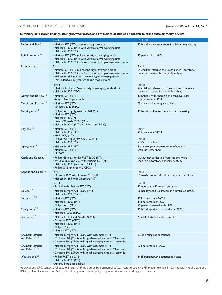January 2005, Volume 14, No. 1

Summary of research findings, strengths, weaknesses, and limitations of studies on motion-tolerant pulse oximetry devices

| <b>STUDY</b>                                                | <b>DEVICES</b>                                                                                                                                                                                                                              | <b>PATIENTS</b>                                                                                      |
|-------------------------------------------------------------|---------------------------------------------------------------------------------------------------------------------------------------------------------------------------------------------------------------------------------------------|------------------------------------------------------------------------------------------------------|
| Barker and Shah <sup>9</sup>                                | • Masimo SET (MT): experimental prototype<br>• Nellcor N-3000 (MT) with variable signal averaging time<br>• Nellcor N-200 (CPO)                                                                                                             | 10 healthy adult volunteers in a laboratory setting                                                  |
| Bohnhorst et al <sup>10</sup>                               | • Masimo SET (MT) in 8-second signal averaging mode<br>• Nellcor N-3000 (MT) with variable signal averaging time<br>• Nellcor N-200 (CPO) in 6- to 7-second signal-averaging mode                                                           | 17 patients in a NICU                                                                                |
| Brouillette et al <sup>11</sup>                             | Part I<br>• Masimo SET (MT) in 4-second signal averaging mode<br>• Nellcor N-200 (CPO) in 2- to 3-second signal-averaging mode<br>• Nellcor N-395 in 2- to 3-second signal-averaging mode<br>• Transcutaneous oxygen probe (no model given) | Part I<br>24 children referred to a sleep apnea laboratory<br>because of sleep disordered breathing  |
|                                                             | Part II<br>• Masimo Radical in 2-second signal averaging mode (MT)<br>• Nellcor N-200 (CPO)                                                                                                                                                 | Part II<br>22 children referred to a sleep apnea laboratory<br>because of sleep disordered breathing |
| Durbin and Rostow <sup>12</sup>                             | • Masimo SET (MT)<br>• Arterial blood gas sample                                                                                                                                                                                            | 13 patients with thoracic and cardiovascular<br>conditions in an ICU                                 |
| Durbin and Rostow <sup>13</sup>                             | • Masimo SET (MT)<br>• Ohmeda 3740 (CPO)                                                                                                                                                                                                    | 59 adult cardiac surgery patients                                                                    |
| Gehring et al $14$                                          | • Philips FAST SpO <sub>2</sub> (revision B.0; MT)<br>• Masimo SET (MT)<br>• Nellcor N-395 (MT)<br>• Datex-Ohmeda 3900P (MT)<br>• Nellcor N-3000 (MT, but older than N-395)                                                                 | 10 healthy volunteers in a laboratory setting                                                        |
| Hay et al $15$                                              | • Masimo SET (MT)<br>• Nellcor N-395 (MT)<br>• MARS <sub>p</sub> O <sub>2</sub> (MT)<br>• Philips FAST SpO <sub>2</sub> (Virida 24C; MT)                                                                                                    | Part 1<br>26 infants in a NICU<br>Part II                                                            |
| Jopling et al <sup>16</sup>                                 | • Nellcor N-200 (CPO)<br>• Nellcor N-395 (MT)<br>• Masimo SET (MT)<br>• NPB-290                                                                                                                                                             | 7 infants in a NICU<br>8 subjects (the characteristics of subjects<br>were not described)            |
| Kastle and Konecny <sup>1/</sup>                            | • Philips M3 (revision B) FAST SpO2 (MT)<br>• Ivy 2000 (revision 2.2) with Masimo SET (MT)<br>• Nellcor N-3000 (revision 3.03; MT)<br>• Philips CMS (revised A.0; CPO)                                                                      | Output signals derived from patients were<br>used in a laboratory benchmark study                    |
| Kopotic and Linder <sup>18</sup>                            | Part I<br>• Ohmeda 2000 with Masimo SET (MT)<br>• Nellcor N-295 with Oxismart (MT)                                                                                                                                                          | Part I<br>50 newborns at high risk for respiratory failure                                           |
|                                                             | Part II                                                                                                                                                                                                                                     | Part II                                                                                              |
| Lie et al <sup>19</sup>                                     | • Radical with Masimo SET (MT)                                                                                                                                                                                                              | 15 neonates <30 weeks' gestation                                                                     |
|                                                             | • Nellcor Symphony N-3000 (MT)<br>• Nellcor N-200 (CPO)                                                                                                                                                                                     | 26 healthy adult volunteers in a simulated PACU                                                      |
| Lutter et $al^{20}$                                         | • Masimo SET (MT)<br>• Nellcor N-3000 (MT)<br>• Philips FAST (MT)                                                                                                                                                                           | 108 patients in a PACU<br>118 patients in an ICU<br>21 patients treated with IABP                    |
| Malviya et al <sup>21</sup>                                 | • Masimo SET (MT)<br>• Nellcor N0200 (CPO)                                                                                                                                                                                                  | 75 healthy patients in a pediatric PACU                                                              |
| Poets et al <sup>22</sup>                                   | • Nellcor N-100 and N- 200 (CPO)<br>• Ohmeda 3700 (CPO)<br>• Nellcor N-3000 (MT)<br>• Philips (CPO)<br>• Masimo SET (MT)                                                                                                                    | A total of 267 patients in an NICU                                                                   |
| Rheineck-Leyssius<br>and Kalkman <sup>23</sup>              | • Nellcor Symphony N-3000 with Oxismart (MT)<br>• Criticare 504 (CPO) with signal-averaging time at 21 seconds<br>• Criticare 504 (CPO) with signal-averaging time at 3 seconds                                                             | 53 operating room patients                                                                           |
| Rheineck-Leyssius<br>and Kalkman <sup><math>24</math></sup> | • Nellcor Symphony N-3000 with Oxismart (MT)<br>• Criticare 504 (CPO) with signal-averaging time at 21 seconds<br>• Criticare 504 (CPO) with signal-averaging time at 3 seconds                                                             | 603 patients in a PACU                                                                               |
| Wouters et $al25$                                           | • Philips FAST on CMS<br>• Nellcor N-3000 (MT)<br>• Arterial blood gas analysis                                                                                                                                                             | 1483 perioperative patients at 4 sites                                                               |

Abbreviations: CPO, conventional pulse oximeter; IABP, intra-aortic balloon pumping; ICU, intensive care unit; MT, motion tolerant; NICU, neonatal intensive care unit; PACU, postanesthesia care unit; SaO<sub>2</sub>, arterial oxyge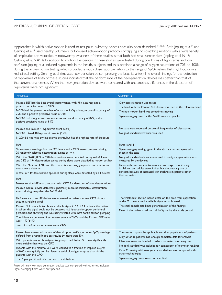Approaches in which active motion is used to test pulse oximetry devices have also been described. <sup>14,16,17</sup> Both Jopling et al<sup>16</sup> and Gerhing et al<sup>14</sup> used healthy volunteers but devised active-motion protocols of tapping and scratching motions with a wide variety of amplitudes and velocities. A noteworthy weakness of these studies is that both had small sample sizes (Jopling et al, N=8; Gehring et al, N=10). In addition to motion, the devices in these studies were tested during conditions of hypoxemia and low perfusion. Jopling et al induced hypoxemia in the healthy subjects and thus obtained a range of oxygen saturations of 70% to 100% during the active-motion testing, which provided a much closer approximation to the range of SpO<sub>2</sub> values that might occur in a real clinical setting. Gehring et al simulated low perfusion by compressing the brachial artery. The overall findings for the detection of hypoxemia of both of these studies indicated that the performance of the new-generation devices was better than that of the conventional devices. When the new-generation devices were compared with one another, differences in the detection of hypoxemia were not significant.

| <b>FINDINGS</b>                                                                                                                                                                                                                                                                                                                                                                                                                                                                                                                                                                                                                                                                                                               | <b>COMMENTS</b>                                                                                                                                                                                                                                                                                                                                                                                                       |
|-------------------------------------------------------------------------------------------------------------------------------------------------------------------------------------------------------------------------------------------------------------------------------------------------------------------------------------------------------------------------------------------------------------------------------------------------------------------------------------------------------------------------------------------------------------------------------------------------------------------------------------------------------------------------------------------------------------------------------|-----------------------------------------------------------------------------------------------------------------------------------------------------------------------------------------------------------------------------------------------------------------------------------------------------------------------------------------------------------------------------------------------------------------------|
| Masimo SET had the best overall performance, with 99% accuracy and a<br>positive predictive value of 100%<br>N-200 had the greatest number of errors in $SpO2$ values, an overall accuracy of<br>76%, and a positive predictive value of 73%<br>N-3000 had the greatest dropout rates, an overall accuracy of 87%, and a<br>positive predictive value of 81%                                                                                                                                                                                                                                                                                                                                                                  | Only passive motion was tested<br>The hand with the Masimo SET device was used as the reference hand<br>The non-motion hand was sometimes moving<br>Signal-averaging time for the N-200 was not specified                                                                                                                                                                                                             |
| Masimo SET missed 1 hypoxemic event (0.5%)<br>N-3000 missed 10 hypoxemic events (5.4%)<br>N-200 did not miss any hypoxemic events, but had the highest rate of dropouts                                                                                                                                                                                                                                                                                                                                                                                                                                                                                                                                                       | No data were reported on overall frequencies of false alarms<br>No gold standard reference was used                                                                                                                                                                                                                                                                                                                   |
| Part I<br>Simultaneous readings from an MT device and a CPO were compared during<br>20 randomly selected desaturation events of $\geq$ 4%<br>With the N-200, 88% of 220 desaturations were detected during wakefulness,<br>and 38% of 194 desaturation events during sleep were classified as motion artifact<br>With the Masimo $Q$ 400 and the transcutaneous oxygen probe, no desaturation<br>events were detected<br>A total of 119 desaturation episodes during sleep were detected by all 3 devices<br>Part II<br>Newer version MT was compared with CPO for detection of true desaturations<br>Masimo Radical device detected significantly more nonartifactual desaturation<br>events during sleep than the N-200 did | Parts I and II<br>Signal-averaging settings given in the abstract do not agree with<br>those in the text<br>No gold standard reference was used to verify oxygen saturations<br>measured by the devices<br>Data on the accuracy of transcutaneous oxygen monitoring<br>in children and adults were limited but theoretically are of<br>concern because of increased skin thickness in patients other<br>than neonates |
| Performance of an MT device was evaluated in patients whose CPO did not<br>acquire a reliable signal<br>Masimo SET was able to obtain a reliable signal in 12 of 13 patients; the patient<br>in whom the signal could not be detected had hypotension, poor peripheral<br>perfusion, and shivering and was being treated with intra-aortic balloon pumping<br>The difference between direct measurement of $aO2$ and the Masimo SET value<br>was $1.1\%$ ( $\pm$ 1%)<br>Two thirds of saturation values were >94%                                                                                                                                                                                                             | The "Methods" section lacked detail on the time from application<br>of the MT device until a reliable signal was obtained<br>The small sample size limits generalization of the findings<br>Most of the patients had normal $SaO2$ during the study period                                                                                                                                                            |
| Researchers measured amount of data dropout, artifact, or when SpO <sub>2</sub> readings<br>differed from arterial blood gas results by more than 10%<br>With patients randomly assigned to groups, the Masimo SET was significantly<br>more reliable than was the CPO<br>Patients with the Masimo SET were weaned to a fraction of inspired oxygen<br>of 0.40 more quickly and had fewer arterial blood gas analyses than did the<br>patients with the CPO<br>The 2 groups did not differ in time to extubation                                                                                                                                                                                                              | The results may not be applicable to other populations of patients<br>Only 59 of 86 patients had enough complete data for analysis<br>Clinicians were not blinded to which oximeter was being used<br>No gold standard was included for comparison of oximeter readings<br>Pulse Oximetry with new generation devices was compared with<br>other technologies<br>Signal-averaging times were not specified            |
|                                                                                                                                                                                                                                                                                                                                                                                                                                                                                                                                                                                                                                                                                                                               |                                                                                                                                                                                                                                                                                                                                                                                                                       |

Pulse oximetry with new-generation devices was compared with other technologies Signal-averaging times were not specified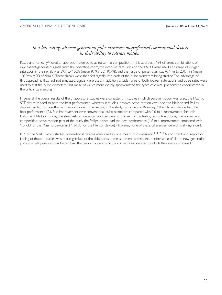### In a lab setting, all new-generation pulse oximeters outperformed conventional devices in their ability to tolerate motion.

Kastle and Konecny<sup>17</sup> used an approach referred to as noise-mix-composition. In this approach, 136 different combinations of raw patient-generated signals from the operating room, the intensive care unit, and the PACU were used. The range of oxygen saturation in the signals was 39% to 100% (mean 89.9%; SD 10.7%), and the range of pulse rates was 49/min to 201/min (mean 108.2/min; SD 45.9/min). These signals were then fed digitally into each of the pulse oximeters being studied. The advantage of this approach is that real, not simulated, signals were used. In addition, a wide range of both oxygen saturations and pulse rates were used to test the pulse oximeters. This range of values more closely approximated the types of clinical phenomena encountered in the critical care setting.

In general, the overall results of the 5 laboratory studies were consistent. In studies in which passive motion was used, the Masimo SET device tended to have the best performance, whereas in studies in which active motion was used, the Nellcor and Philips devices tended to have the best performance. For example, in the study by Kastle and Konecny,<sup>17</sup> the Masimo device had the best performance (2.6-fold improvement over conventional pulse oximeters compared with 1.6-fold improvement for both Philips and Nellcor) during the steady-state reference hand, passive-motion part of the testing. In contrast, during the noise-mixcomposition, active-motion part of the study, the Philips device had the best performance (1.6 fold improvement compared with 1.5-fold for the Masimo device and 1.3-fold for the Nellcor device). However, none of these differences were clinically significant.

In 4 of the 5 laboratory studies, conventional devices were used as one means of comparison.<sup>9,14,17,19</sup> A consistent and important finding of these 4 studies was that regardless of the differences in measurement criteria, the performance of all the new-generation pulse oximetry devices was better than the performance any of the conventional devices to which they were compared.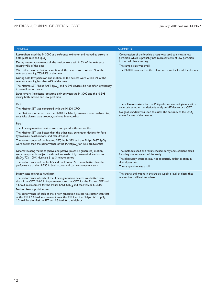F

#### January 2005, Volume 14, No. 1

| <b>FINDINGS</b>                                                                                                                                                                                                                                                                                                                                                                                                                                                                                                                                                                                                                                                                                                 | <b>COMMENTS</b>                                                                                                                                                                                                                                                   |
|-----------------------------------------------------------------------------------------------------------------------------------------------------------------------------------------------------------------------------------------------------------------------------------------------------------------------------------------------------------------------------------------------------------------------------------------------------------------------------------------------------------------------------------------------------------------------------------------------------------------------------------------------------------------------------------------------------------------|-------------------------------------------------------------------------------------------------------------------------------------------------------------------------------------------------------------------------------------------------------------------|
| Researchers used the N-3000 as a reference oximeter and looked at errors in<br>both pulse rate and $SpO2$<br>During desaturation events, all the devices were within 3% of the reference<br>reading 95% of the time<br>With either low perfusion or motion, all the devices were within 3% of the<br>reference reading 75%-85% of the time<br>During both low perfusion and motion, all the devices were within 3% of the<br>reference reading less than 62% of the time<br>The Masimo SET, Philips FAST $SpO2$ , and N-395 devices did not differ significantly<br>in overall performance<br>Large errors (significant) occurred only between the N-3000 and the N-395<br>during both motion and low perfusion | Compression of the brachial artery was used to simulate low<br>perfusion, which is probably not representative of low perfusion<br>in the real clinical setting<br>The sample size was small<br>The N-3000 was used as the reference oximeter for all the devices |
| Part I<br>The Masimo SET was compared with the N-200 CPO<br>The Masimo was better than the N-200 for false hypoxemias, false bradycardias,<br>total false alarms, data dropout, and true bradycardias<br>Part II<br>The 3 new-generation devices were compared with one another<br>The Masimo SET was better than the other new-generation devices for false<br>hypoxemias, desaturations, and data dropout<br>The performances of the Masimo SET, the N-395, and the Philips FAST $SpO2$<br>were better than the performance of the MARSpO <sub>2</sub> for false bradycardias                                                                                                                                 | The software revision for the Philips device was not given, so it is<br>uncertain whether the device is really an MT device or a CPO<br>No gold standard was used to assess the accuracy of the $SpO2$<br>values for any of the devices                           |
| Different testing methods (active and passive [machine generated] motion)<br>were compared in subjects with various levels of hypoxemia-induced states<br>$(SaO2, 70o - 100o)$ during a 2- to 3-minute period<br>The performances of the N-395 and the Masimo SET were better than the<br>performance of the N-290 in both active- and passive-movement tests                                                                                                                                                                                                                                                                                                                                                   | The methods used and results lacked clarity and sufficient detail<br>for adequate evaluation of the study<br>The laboratory situation may not adequately reflect motion in<br>clinical practice<br>The sample size was small                                      |
| Steady-state reference hand part<br>The performance of each of the 3 new-generation devices was better than<br>that of the CPO: 2.6-fold improvement over the CPO for the Masimo SET and<br>1.6-fold improvement for the Philips FAST $SpO2$ and the Nellcor N-3000<br>Noise-mix-composition part<br>The performance of each of the 3 new-generation devices was better than that<br>of the CPO: 1.6-fold improvement over the CPO for the Philips FAST $SpO2$ ,<br>1.5-fold for the Masimo SET, and 1.3-fold for the Nellcor                                                                                                                                                                                   | The charts and graphs in the article supply a level of detail that<br>is sometimes difficult to follow                                                                                                                                                            |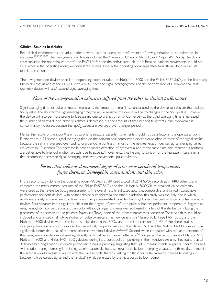#### **Clinical Studies in Adults**

Real clinical environments and adult patients were used to assess the performance of new-generation pulse oximeters in 6 studies.<sup>12,13,20,23-25</sup> The new generation devices included the Masimo SET, Nellcor N-3000, and Philips FAST SpO<sub>2</sub>. The clinical areas included the operating room,  $^{23,25}$  the PACU,  $^{20,24,25}$  and the critical care unit.<sup>12,13,20</sup> Because patients' movements should not be a factor in the operating room, we considered studies done in the operating room separately from those done in the PACU or critical care unit.

The new-generation devices used in the operating room included the Nellcor N-3000 and the Philips FAST SpO<sub>2</sub>. In the first study, Rheineck-Leyssius and of the N-3000 with a 5- to 7-second signal averaging time and the performance of a conventional pulse oximetry device with a 21-second signal-averaging time.

### None of the new-generation oximeters differed from the other in clinical performance.

Signal-averaging time for pulse oximeters represents the amount of time (in seconds) used by the device to calculate the displayed  $SpO<sub>2</sub>$  value. The shorter the signal-averaging time, the more sensitive the device will be to changes in the SpO<sub>2</sub> value. However, the device will also be more prone to false alarms due to artifact or error. Conversely, as the signal-averaging time is increased, the number of alarms due to error or artifact is decreased, but the amount of time needed to detect a true hypoxemia is concomitantly increased, because the  $SpO<sub>2</sub>$  values are averaged over a longer period.

Hence, the results of the study<sup>23</sup> are not surprising because patients' movements should not be a factor in the operating room. Furthermore, a 21-second signal averaging time on the conventional comparison device would obscure most of the signal artifact because the signal is averaged over such a long period. In contrast, in most of the new-generation devices, signal-averaging times are less than 10 seconds. This decrease in time enhances detection of hypoxemia, and, at the same time, the improved algorithms are better able to filter out motion artifacts due to patients' movements, thus helping to control for the increase in false alarms that accompany decreased signal-averaging times with conventional pulse oximetry.

### Factors that influenced oximeters' degree of error were peripheral temperature, finger thickness, hemoglobin concentration, and skin color.

In the second study done in the operating room, Wouters et al<sup>25</sup> used a total of 2694 SpO<sub>2</sub> recordings in 1483 patients and compared the measurement accuracy of the Philips FAST  $SpO<sub>2</sub>$  and the Nellcor N-3000. Values obtained via co-oximetry were used as the reference  $SpO<sub>2</sub>$  measurements. The overall results indicated accurate, comparable, and clinically acceptable performance for both devices, with neither device outperforming the other. In addition, this study was the only one in which multivariate analyses were used to determine other patient-related variables that might affect the performance of pulse oximetry devices. Four variables had a significant effect on the degree of error of both pulse oximeters: peripheral temperature, finger thickness, hemoglobin concentration, and skin color. Although finger thickness was addressed in a few of the studies by rotating the placement of the sensor on the patient's finger (see Table), none of the other variables was addressed. These variables should be included and analyzed in all future studies on pulse oximeters. The new-generation Masimo SET, Philips FAST SpO<sub>2</sub>, and the Nellcor N-3000 devices were used in the studies done in the PACU and the critical care unit.<sup>12,13,20,24,25</sup> For these studies as a group, two overall conclusions can be made. First, the performance of the Masimo SET and the Nellcor N-3000 devices was significantly better than that of the comparison conventional devices.<sup>12,13,20,24</sup> Second, when compared with one another, none of the new-generation devices differed significantly in clinical performance. Lutter et al<sup>20</sup> compared the performance of Masimo SET, Nellcor N-3000, and Philips FAST SpO<sub>2</sub> devices during intra-aortic balloon pumping in the intensive care unit. They found that all 3 devices had degradations in clinical performance during pumping, suggesting that  $SpO<sub>2</sub>$  measurements in general should be used with caution during pumping. This finding seems reasonable, because intra-aortic balloon pumping creates a rhythmic disturbance in the arterial waveform that is in sync with the cardiac cycle, thereby making it difficult for pulse oximetry devices to distinguish between a true cardiac signal and the "artifact" signals generated by the intra-aortic balloon pump.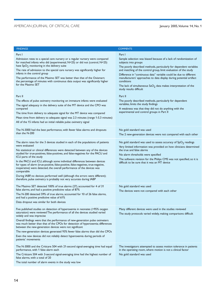| <b>FINDINGS</b>                                                                                                                                                                                                                                         | <b>COMMENTS</b>                                                                                                                                         |
|---------------------------------------------------------------------------------------------------------------------------------------------------------------------------------------------------------------------------------------------------------|---------------------------------------------------------------------------------------------------------------------------------------------------------|
| Part I                                                                                                                                                                                                                                                  | Part I                                                                                                                                                  |
| Admission rates to a special care nursery or a regular nursery were compared<br>for matched infants who did (experimental, N=25) or did not (control, N=25)<br>have $SpO2$ monitoring in the delivery suite                                             | Sample selection was biased because of a lack of randomization of<br>subjects into groups                                                               |
| The rate of admission to the special care nursery was significantly higher for<br>infants in the control group                                                                                                                                          | The poorly described methods, particularly for dependent variables<br>and matching of the control group, limit evaluation of the study                  |
| The performance of the Masimo SET was better than that of the Oxismart;<br>the percentage of minutes with continuous data output was significantly higher                                                                                               | Difference in "continuous data" variable could be due to different<br>manufacturers' approaches to data display during potential artifact<br>conditions |
| for the Masimo SET                                                                                                                                                                                                                                      | The lack of simultaneous $CaO2$ data makes interpretation of the<br>study results difficult                                                             |
| Part II                                                                                                                                                                                                                                                 | Part II                                                                                                                                                 |
| The effects of pulse oximetry monitoring on immature infants were evaluated                                                                                                                                                                             | The poorly described methods, particularly for dependent                                                                                                |
| The signal adequacy in the delivery suite of the MT device and the CPO was<br>compared                                                                                                                                                                  | variables, limits the study findings<br>A weakness was that they did not do anything with the                                                           |
| The time from delivery to adequate signal for the MT device was compared                                                                                                                                                                                | experimental and control groups in Part II                                                                                                              |
| Mean time from delivery to adequate signal was 2.3 minutes (range 1-5.3 minutes)                                                                                                                                                                        |                                                                                                                                                         |
| All of the 15 infants had an initial reliable pulse oximetry signal                                                                                                                                                                                     |                                                                                                                                                         |
| The N-3000 had the best performance, with fewer false alarms and dropouts                                                                                                                                                                               | No gold standard was used                                                                                                                               |
| than the N-200                                                                                                                                                                                                                                          | The 2 new-generation devices were not compared with each other                                                                                          |
|                                                                                                                                                                                                                                                         |                                                                                                                                                         |
| The alarm rates for the 3 devices studied in each of the populations of patients<br>were evaluated                                                                                                                                                      | No gold standard was used to assess accuracy of $SpO2$ readings                                                                                         |
| No statistical or clinical differences were detected between any of the devices                                                                                                                                                                         | Very limited information was provided on how clinicians determined<br>the true and false alarms                                                         |
| studied for true-positives, false-positives, and false-negatives for the PACU and                                                                                                                                                                       | No alarm thresholds were specified                                                                                                                      |
| ICU parts of the study                                                                                                                                                                                                                                  | The software revision for the Philips CMS was not specified, so it is                                                                                   |
| In the PACU and ICU, although some individual differences between devices<br>for types of alarm (true-positive, false-positive, false-negatives, true-negative,<br>inoperative) were detected, the overall performance of the devices was<br>comparable | difficult to be sure that it was an MT device                                                                                                           |
| During IABP, no devices performed well (although the errors were different);<br>therefore, pulse oximetry is probably not very accurate during IABP                                                                                                     |                                                                                                                                                         |
| The Masimo SET detected 100% of true alarms (27), accounted for 4 of 31                                                                                                                                                                                 | No gold standard was used                                                                                                                               |
| false alarms, and had a positive predictive value of 87%<br>The N-200 detected 59% of true alarms, accounted for 10 of 26 false alarms,                                                                                                                 | The devices were not compared with each other                                                                                                           |
| and had a positive predictive value of 61%                                                                                                                                                                                                              |                                                                                                                                                         |
| Data dropout was similar for both devices                                                                                                                                                                                                               |                                                                                                                                                         |
| Five published studies on detection of hyperoxemia in neonates (>95% oxygen<br>saturation) were reviewed The performance of all the devices studied varied<br>widely and was imprecise                                                                  | Many different devices were used in the studies reviewed<br>The study protocols varied widely, making comparisons difficult                             |
| Overall findings were that the performance of new-generation pulse oximeters<br>was much better than that of the CPOs for detection of hyperoxemia; differences<br>between the new-generation devices were not significant                              |                                                                                                                                                         |
| The new-generation devices generated 93% fewer false alarms than did the CPOs                                                                                                                                                                           |                                                                                                                                                         |
| Even the new devices did not reliably detect hyperoxemia during periods of<br>patients' movements                                                                                                                                                       |                                                                                                                                                         |
| The N-3000 and the Criticare 504 with 21-second signal-averaging time had equal<br>performance, with 1 false alarm each                                                                                                                                 | The investigators attempted to assess motion tolerance in patients<br>in the operating room, where motion is not a clinical factor                      |
| The Criticare 504 with 3-second signal-averaging time had the highest number of<br>false alarms, with a total of 20                                                                                                                                     | No gold standard was used                                                                                                                               |
| The total number of alarm events in the study was low                                                                                                                                                                                                   |                                                                                                                                                         |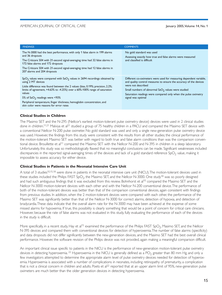| <b>FINDINGS</b>                                                                                                                                                                                                                                                                                                                                                                                                                                   | <b>COMMENTS</b>                                                                                                                                                                                                                                                                                                |
|---------------------------------------------------------------------------------------------------------------------------------------------------------------------------------------------------------------------------------------------------------------------------------------------------------------------------------------------------------------------------------------------------------------------------------------------------|----------------------------------------------------------------------------------------------------------------------------------------------------------------------------------------------------------------------------------------------------------------------------------------------------------------|
| The N-3000 had the best performance, with only 1 false alarm in 199 alarms<br>and 36 dropouts<br>The Criticare 504 with 21-second signal-averaging time had 32 false alarms in<br>172 false alarms and 172 dropouts<br>The Criticare 504 with 21-second signal-averaging time had 12 false alarms in<br>207 alarms and 204 dropouts                                                                                                               | No gold standard was used<br>Assessing exactly how true and false alarms were measured<br>and classified is difficult                                                                                                                                                                                          |
| $SpO2$ values were compared with $SoO2$ values in 2694 recordings obtained by<br>using 2 MT devices<br>Little difference was found between the 2 values (bias, 0.19%; precision, 2.2%;<br>limits of agreement, +4.63% to -4.25%) over a 60%-100% range of saturation<br>values<br>5% of SaO <sub>2</sub> readings were <93%<br>Peripheral temperature, finger thickness, hemoglobin concentration, and<br>skin color were reasons for error rates | Different co-oximeters were used for measuring dependent variable,<br>and quality control measures to ensure the accuracy of the devices<br>were not described<br>Small numbers of abnormal $CaO2$ values were studied<br>Saturation readings were compared only when the pulse oximetry<br>signal was optimal |

#### **Clinical Studies in Children**

The Masimo SET and the N-295 (Nellcor's earliest motion-tolerant pulse oximetry device) devices were used in 2 clinical studies done in children.<sup>11,21</sup> Malviya et al<sup>21</sup> studied a group of 75 healthy children in a PACU and compared the Masimo SET device with a conventional Nellcor N-200 pulse oximeter. No gold standard was used and only a single new-generation pulse oximetry device was used. However, the findings from this study were consistent with the results from all other studies; the clinical performance of the motion-tolerant Masimo SET was better with regard to both true and false alarm conditions than was the comparison conventional device. Brouillette et al<sup>11</sup> compared the Masimo SET with the Nellcor N-200 and N-395 in children in a sleep laboratory. Unfortunately, this study was so methodologically flawed that no meaningful conclusions can be made. Significant weaknesses included discrepancies in the reported signal-averaging times of the devices and lack of a gold standard reference  $SpO<sub>2</sub>$  value, making it impossible to assess accuracy for either device.

#### **Clinical Studies in Patients in the Neonatal Intensive Care Unit**

A total of 3 studies<sup>10,15,18</sup> were done in patients in the neonatal intensive care unit (NICU). The motion-tolerant devices used in these studies included the Philips FAST SpO<sub>2</sub>, the Masimo SET, and the Nellcor N-3000. One study<sup>18</sup> was so poorly designed and had such ambiguous findings that it was excluded from this review. Bohnhorst et al<sup>10</sup> compared the Masimo SET and the Nellcor N-3000 motion-tolerant devices with each other and with the Nellcor N-200 conventional device. The performance of both of the motion-tolerant devices was better than that of the comparison conventional devices, again consistent with findings from previous studies. In addition, when the 2 motion-tolerant devices were compared with each other, the performance of the Masimo SET was significantly better than that of the Nellcor N-3000 for correct alarms, detection of hypoxia, and detection of bradycardia. These data indicate that the overall alarm rate for the N-3000 may have been achieved at the expense of some missed alarms for hypoxemia. If true, this possibility is clearly something that would be a point of concern for critical care clinicians. However, because the rate of false alarms was not evaluated in this study, fully evaluating the performance of each of the devices in the study is difficult.

More specifically, in a recent study, Hay et al<sup>15</sup> examined the performance of the Philips FAST SpO<sub>2</sub>, Masimo SET, and the Nellcor N-395 devices and compared them with conventional devices for detection of hyperoxemia. The number of false alarms (specificity) and data dropouts did not differ significantly between the new-generation devices, and the Masimo SET had the best overall clinical performance. However, the software revision of the Philips device was not provided, again making a meaningful comparison difficult.

An important clinical issue specific to patients in the NICU is the performance of new-generation motion-tolerant pulse oximetry devices in detecting hyperoxemia.<sup>22</sup> Hyperoxemia in the NICU is generally defined as a PO<sub>2</sub> greater than 80 mm Hg, and only a few investigators attempted to determine the appropriate alarm level of pulse oximetry devices needed for detection of hyperoxemia. Hyperoxemia is associated with a number of complications in neonates, including retinopathy of prematurity, a complication that is not a clinical concern in children and adults. Poets et al<sup>22</sup> reported that at an upper alarm limit of 95%, new-generation pulse oximeters are much better than the older generation devices in detecting hyperoxemia.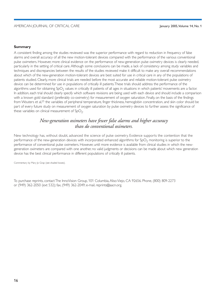#### **Summary**

A consistent finding among the studies reviewed was the superior performance with regard to reduction in frequency of false alarms and overall accuracy of all the new motion-tolerant devices compared with the performance of the various conventional pulse oximeters. However, more clinical evidence on the performance of new-generation pulse oximetry devices is clearly needed, particularly in the setting of critical care. Although some conclusions can be made, a lack of consistency among study variables and techniques and discrepancies between the results of the studies reviewed make it difficult to make any overall recommendations about which of the new-generation motion-tolerant devices are best suited for use in critical care in any of the populations of patients studied. Clearly, more clinical trials are needed before the most accurate and reliable motion-tolerant pulse oximetry device can be determined for use in populations of critically ill patients. These trials should address the performance of the algorithms used for obtaining SpO<sub>2</sub> values in critically ill patients of all ages in situations in which patients' movements are a factor. In addition, each trial should clearly specify which software revisions are being used with each device and should include a comparison with a known gold standard (preferably co-oximetry) for measurement of oxygen saturation. Finally, on the basis of the findings from Wouters et al,<sup>25</sup> the variables of peripheral temperature, finger thickness, hemoglobin concentration, and skin color should be part of every future study on measurement of oxygen saturation by pulse oximetry devices to further assess the significance of these variables on clinical measurement of  $SpO<sub>2</sub>$ .

### New-generation oximeters have fewer false alarms and higher accuracy than do conventional oximeters.

New technology has, without doubt, advanced the science of pulse oximetry. Evidence supports the contention that the performance of the new-generation devices with incorporated enhanced algorithms for SpO<sub>2</sub> monitoring is superior to the performance of conventional pulse oximeters. However, until more evidence is available from clinical studies in which the newgeneration oximeters are compared with one another, no valid judgments or decisions can be made about which new generation device has the best clinical performance in different populations of critically ill patients.

Commentary by Mary Jo Grap (see shaded boxes).

To purchase reprints, contact The InnoVision Group, 101 Columbia, Aliso Viejo, CA 92656. Phone, (800) 809-2273 or (949) 362-2050 (ext 532); fax, (949) 362-2049; e-mail, reprints@aacn.org.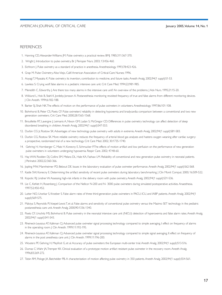#### **REFERENCES**

- 1. Hanning CD, Alexander-Williams |M. Pulse oximetry: a practical review. BMJ. 1985;311:367-370.
- 2. Wright J. Introduction to pulse oximetry. Br J Perioper Nurs. 2003; 13:456-460.
- 3. Eichhorn J. Pulse oximetry as a standard of practice in anesthesia. Anesthesiology. 1993;78:423-426.
- 4. Grap M. Pulse Oximetry. Aliso Viejo, Calif: American Association of Critical-Care Nurses; 1996.
- 5. Aoyagi T, Miyasaka K. Pulse oximetry: its invention, contribution to medicine, and future tasks. Anesth Analg. 2002;94(1 suppl):S1-S3.
- 6. Lawless S. Crying wolf: false alarms in a pediatric intensive care unit. Crit Care Med. 1994;22:981-985.
- 7. Meredith C, Edworthy J. Are there too many alarms in the intensive care unit? An overview of the problems. J Adv Nurs. 1995;21:15-20.
- 8. Wiklund L, Hok B, Stahl K, Jordeby-Jonsson A. Postanesthesia monitoring revisited: frequency of true and false alarms from different monitoring devices. J Clin Anesth. 1994;6:182-188.
- 9. Barker SJ, Shah NK. The effects of motion on the performance of pulse oximeters in volunteers. Anesthesiology. 1997;86:101-108.
- 10. Bohnhorst B, Peter CS, Poets CF. Pulse oximeters' reliability in detecting hypoxemia and bradycardia: comparison between a conventional and two new generation oximeters. Crit Care Med. 2000;28:1565-1568.
- 11. Brouillette RT, Lavergne J, Leimanis A, Nixon GM, Ladan S, McGregor CD. Differences in pulse oximetry technology can affect detection of sleep disordered breathing in children. Anesth Analg. 2002;94(1 suppl):S47-S53.
- 12. Durbin CG Jr, Rostow SK. Advantages of new technology pulse oximetry with adults in extremis. Anesth Analg. 2002;94(1 suppl):S81-S83.
- 13. Durbin CG, Rostow SK. More reliable oximetry reduces the frequency of arterial blood gas analyses and hastens oxygen weaning after cardiac surgery: a prospective, randomized trial of a new technology. Crit Care Med. 2002; 30:1735-1740.
- 14. Gehring H, Hornberger C, Matz H, Konecny E, Schmucker P.The effects of motion artifact and low perfusion on the performance of new generation pulse oximeters in volunteers undergoing hypoxemia. Respir Care. 2002; 47:48-60.
- 15. Hay WW, Rodden DJ, Collins SM, Melara DL, Hale KA, Fashaw LM. Reliability of conventional and new generation pulse oximetry in neonatal patients. J Perinatol. 2002;22:360-366.
- 16. Jopling MW, Mannheimer PD, Bebout DE. Issues in the laboratory evaluation of pulse oximeter performance. Anesth Analg. 2002;94(1 suppl):S62-S68.
- 17. Kastle SVV, Konecny E. Determining the artifact sensitivity of recent pulse oximeters during laboratory benchmarking. J Clin Monit Comput. 2000; 16:509-522.
- 18. Kopotic RJ, Lindner W. Assessing high-risk infants in the delivery room with pulse oximetry. Anesth Analg. 2002;94(1 suppl):S31-S36.
- 19. Lie C, Kehlet H, Rosenberg J. Comparison of the Nellcor N-200 and N-3000 pulse oximeters during simulated postoperative activities. Anaesthesia. 1997:52:450-452.
- 20. Lutter NO, Urankar S, Kroeber S. False alarm rates of three third-generation pulse oximeters in PACU, ICU, and IABP patients. Anesth Analg. 2002;94(1 suppl):S69-S75.
- 21. Malviya S, Reynolds PI, Voepel-Lewis T, et al. False alarms and sensitivity of conventional pulse oximetry versus the Masimo SET technology in the pediatric postanesthesia care unit. Anesth Analg. 2000;90:1336-1340.
- 22. Poets CF, Urschitz MS, Bohnhorst B. Pulse oximetry in the neonatal intensive care unit (NICU): detection of hyperoxemia and false alarm rates. Anesth Analg. 2002;94(1 suppl):S41-S43.
- 23. Rheineck-Leyssius AT, Kalkman CJ. Advanced pulse oximeter signal processing technology compared to simple averaging, I: effect on frequency of alarms in the operating room. J Clin Anesth. 1999;11:192-195.
- 24. Rheineck-Leyssius AT, Kalkman CJ. Advanced pulse oximeter signal processing technology compared to simple signal averaging, II: effect on frequency of alarms in the post anesthesia care unit. J Clin Anesth. 1999;11:196-200.
- 25. Wouters PF, Gehring H, Meyfroit G, et al. Accuracy of pulse oximeters: the European multi-center trial. Anesth Analg. 2002;94(1 suppl):S13-S16.
- 26. Dumas C, Wahr JA, Tremper KK. Clinical evaluation of a prototype motion artifact resistant pulse oximeter in the recovery room. Anesth Analg. 1996;83:269-272.
- 27. Tobin RM, Pologe JA, Batchelder PB. A characterization of motion affecting pulse oximetry in 350 patients. Anesth Analg. 2002;94(1 suppl):S54-S61.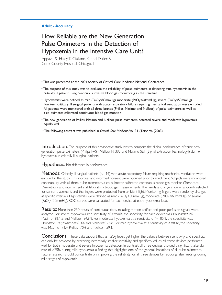#### **Adult - Accuracy**

# How Reliable are the New Generation Pulse Oximeters in the Detection of Hypoxemia in the Intensive Care Unit?

Appavu, S., Haley, T., Giuliano, K., and Duller, B. Cook County Hospital, Chicago, IL

- . This was presented at the 2004 Society of Critical Care Medicine National Conference.
- . The purpose of this study was to evaluate the reliability of pulse oximeters in detecting true hypoxemia in the critically ill patient using continuous invasive blood gas monitoring as the standard.
- Hypoxemias were defined as mild (PaO<sub>2</sub><80mmHg), moderate (PaO<sub>2</sub><60mmHg), severe (PaO<sub>2</sub><50mmHg). Fourteen critically ill surgical patients with acute respiratory failure requiring mechanical ventilation were enrolled. All patients were monitored with all three brands (Philips, Masimo, and Nellcor) of pulse oximeters as well as a co-oximeter calibrated continuous blood gas monitor.
- . The new generation of Philips, Masimo and Nellcor pulse oximeters detected severe and moderate hypoxemia equally well.
- The following abstract was published in Critical Care Medicine, Vol. 31 (12): A 96 (2003).

**Introduction:** The purpose of this prospective study was to compare the clinical performance of three new generation pulse oximeters (Philips FAST, Nellcor N-395, and Masimo SET [Signal Extraction Technology]) during hypoxemia in critically ill surgical patients.

Hypothesis: No difference in performance.

Methods: Critically ill surgical patients (N=14) with acute respiratory failure requiring mechanical ventilation were enrolled in the study. IRB approval and informed consent were obtained prior to enrollment. Subjects were monitored continuously with all three pulse oximeters, a co-oximeter calibrated continuous blood gas monitor (Trendcare, Diametrics), and intermittent stat laboratory blood gas measurements. The hands and fingers were randomly selected for sensor placement, and the fingers were protected from ambient light. Monitoring fingers were randomly changed at specific intervals. Hypoxemias were defined as mild (PaO<sub>2</sub><80mmHg), moderate (PaO<sub>2</sub><60mmHg) or severe (PaO<sub>2</sub><50mmHg). ROC curves were calculated for each device at each hypoxemia level.

**Results:** More than 250 hours of continuous data, including motion artifact and poor perfusion signals, were analyzed. For severe hypoxemia at a sensitivity of >=90%, the specificity for each device was: Philips=89.2%; Masimo=86.1% and Nellcor=84.8%. For moderate hypoxemia at a sensitivity of >=85%, the specificity was: Philips=91.5%; Masimo=89.3% and Nellcor=82.5%. For mild hypoxemia at a sensitivity of  $\geq$ =80%, the specificity was: Masimo=71.4, Philips=70.6 and Nellcor=59.1.

**Conclusions:** These data support that as PaO<sub>2</sub> levels get higher, the balance between sensitivity and specificity can only be achieved by accepting increasingly smaller sensitivity and specificity values. All three devices performed well for both moderate and severe hypoxemia detection. In contrast, all three devices showed a significant false alarm rate of >25% during mild hypoxemia, a finding that highlights one of the general limitations of all pulse oximeters. Future research should concentrate on improving the reliability for all three devices by reducing false readings during mild stages of hypoxemia.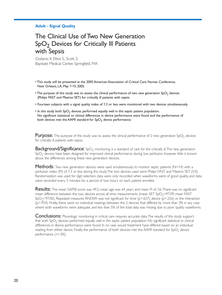#### **Adult - Signal Quality**

# The Clinical Use of Two New Generation SpO<sub>2</sub> Devices for Critically III Patients with Sepsis

Giuliano, K, Elliot, S., Scott, S. Baystate Medical Center, Springfield, MA

- . This study will be presented at the 2005 American Association of Critical Care Nurses Conference, New Orleans, LA, May 7-15, 2005.
- The purpose of this study was to assess the clinical performance of two new generation SpO<sub>2</sub> devices (Philips FAST and Masimo SET) for critically ill patients with sepsis.
- Fourteen subjects with a signal quality index of 1.3 or less were monitored with two devices simultaneously.
- In this study both SpO<sub>2</sub> devices performed equally well in this septic patient population. No significant statistical or clinical differences in device performance were found and the performance of both devices met the AAMI standard for SpO<sub>2</sub> device performance.

**Purpose:** The purpose of this study was to assess the clinical performance of 2 new generation  $SpO<sub>2</sub>$  devices for critically ill patients with sepsis.

**Background/Significance:** SpO<sub>2</sub> monitoring is a standard of care for the critically ill. The new generation SpO<sub>2</sub> devices have been designed for improved clinical performance during low perfusion, however little is known about the differences among these new generation devices.

**Methods:** Two new generation devices were used simultaneously to monitor septic patients ( $N=14$ ) with a perfusion index (PI) of 1.3 or less during this study. The two devices used were Philips FAST and Masimo SET (V3). Randomization was used for digit selection, data were only recorded when waveforms were of good quality, and data were recorded every 5 minutes for a period of two hours on each patient enrolled.

**Results:** The mean SAPSII score was 49.2, mean age was 64 years and mean PI of .56. There was no significant mean difference between the two devices across all time measurements (mean SET SpO<sub>2</sub>=97.09, mean FAST  $SpO<sub>2</sub>=97.00$ ). Repeated measures ANOVA was not significant for time ( $p=0.627$ ), device ( $p=.256$ ) or the interaction (p=.954). Finally, there were no individual readings between the 2 devices that differed by more than 3% in any case where both waveforms were adequate, and less than 5% of the total data was missing due to poor quality waveforms.

**Conclusions:** Physiologic monitoring in critical care requires accurate data. The results of this study support that both  $SpO<sub>2</sub>$  devices performed equally well in this septic patient population. No significant statistical or clinical differences in device performance were found. In no case would treatment have differed based on an individual reading from either device. Finally, the performance of both devices met the AAMI standard for SpO<sub>2</sub> device performance (+/-3%).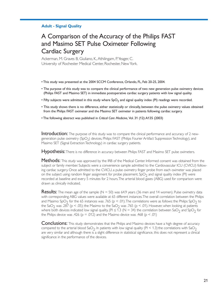#### **Adult - Signal Quality**

# A Comparison of the Accuracy of the Philips FAST and Masimo SET Pulse Oximeter Following **Cardiac Surgery**

Ackerman, M. Graves B, Giuliano, K., Athilingam, P. Yeager, C. University of Rochester Medical Center, Rochester, New York.

- . This study was presented at the 2004 SCCM Conference, Orlando, FL, Feb 20-25, 2004.
- The purpose of this study was to compare the clinical performance of two new generation pulse oximetry devices (Philips FAST and Masimo SET) in immediate postoperative cardiac surgery patients with low signal quality.
- Fifty subjects were admitted in this study where  $SpO<sub>2</sub>$  and signal quality index (PI) readings were recorded.
- This study shows there is no difference, either statistically or clinically, between the pulse oximetry values obtained from the Philips FAST oximeter and the Masimo SET oximeter in patients following cardiac surgery.
- The following abstract was published in Critical Care Medicine, Vol. 31 (12): A135 (2003)

**Introduction:** The purpose of this study was to compare the clinical performance and accuracy of 2 newgeneration pulse oximetry (SpO<sub>2</sub>) devices, Philips FAST (Philips Fourier Artifact Suppression Technology), and Masimo SET (Signal Extraction Technology) in cardiac surgery patients.

**Hypothesis:** There is no difference in accuracy between Philips FAST and Masimo SET pulse oximeters.

Methods: This study was approved by the IRB of the Medical Center. Informed consent was obtained from the subject or family member. Subjects were a convenience sample admitted to the Cardiovascular ICU (CVICU) following cardiac surgery. Once admitted to the CVICU, a pulse oximetry finger probe from each oximeter was placed on the subject using random finger assignment for probe placement.  $SpO<sub>2</sub>$  and signal quality index (PI) were recorded at baseline and every 5 minutes for 2 hours. The arterial blood gases (ABG) used for comparison were drawn as clinically indicated.

**Results:** The mean age of the sample ( $N = 50$ ) was 64.9 years (36 men and 14 women). Pulse oximetry data with corresponding ABG values were available at 65 different instances. The overall correlation between the Philips and Masimo SpO<sub>2</sub> for the 65 instances was .765 (p < .01). The correlations were as follows: the Philips SpO<sub>2</sub> to the SaO<sub>2</sub> was .287 (p < .05); the Masimo to the SaO<sub>2</sub> was .765 (p < .01). However, when looking at patients where both devices indicated low signal quality, (PI  $\leq$  1.3 (N = 34) the correlation between SaO<sub>2</sub> and SpO<sub>2</sub> for the Philips device was .426 ( $p = .012$ ) and the Masimo device was .468 ( $p < .01$ )

**Conclusions:** This study demonstrates that the Philips and Masimo devices have a high degree of accuracy compared to the arterial blood SaO<sub>2</sub>. In patients with low signal quality ( $PI < 1.3$ ) the correlations with SaO<sub>2</sub> are very similar and although there is a slight difference in statistical significance, this does not represent a clinical significance in the performance of the devices.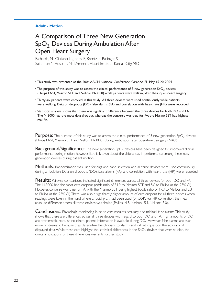#### **Adult - Motion**

# A Comparison of Three New Generation SpO<sub>2</sub> Devices During Ambulation After **Open Heart Surgery**

Richards, N., Giuliano, K., Jones, P., Krentz, K., Basinger, S. Saint Luke's Hospital, Mid America Heart Institute, Kansas City, MO

- This study was presented at the 2004 AACN National Conference, Orlando, FL, May 15-20, 2004.
- The purpose of this study was to assess the clinical performance of 3 new generation SpO<sub>2</sub> devices (Philips FAST, Masimo SET and Nellcor N-3000) while patients were walking after their open-heart surgery.
- Thirty-six patients were enrolled in this study. All three devices were used continuously while patients were walking. Data on dropouts (DO) false alarms (FA) and correlation with heart rate (HR) were recorded.
- . Statistical analysis shows that there was significant difference between the three devices for both DO and FA. The N-3000 had the most data dropout, whereas the converse was true for FA; the Masino SET had highest real FA.

**Purpose:** The purpose of this study was to assess the clinical performance of 3 new generation  $SpO<sub>2</sub>$  devices (Philips FAST, Masimo SET and Nellcor N-3000) during ambulation after open-heart surgery (N=36).

**Background/Significance:** The new generation SpO<sub>2</sub> devices have been designed for improved clinical performance during motion, however little is known about the differences in performance among these new generation devices during patient motion.

**Methods:** Randomization was used for digit and hand selection, and all three devices were used continuously during ambulation. Data on dropouts (DO), false alarms (FA), and correlation with heart rate (HR) were recorded.

Results: Pairwise comparisons indicated significant differences across all three devices for both DO and FA. The N-3000 had the most data dropout (odds ratio of 31.9 to Masimo SET and 5.6 to Philips, at the 95% CI). However, converse was true for FA, with the Masimo SET being highest (odds ratio of 17.9 to Nellcor and 2.3 to Philips, at the 95% CI). There was also a significantly higher amount of data dropout for all three devices when readings were taken in the hand where a radial graft had been used ( $p=0.004$ ). For HR correlation, the mean absolute difference across all three devices was similar (Philips=4.3, Masimo=5.1, Nellcor=3.0).

**Conclusions:** Physiologic monitoring in acute care requires accuracy and minimal false alarms. This study shows that there are differences across all three devices with regard to both DO and FA. High amounts of DO are problematic, because no clinical patient information is available during DO. However, false alarms are even more problematic, because they desensitize the clinicians to alarms and call into question the accuracy of displayed data. While these data highlight the statistical differences in the  $SpO<sub>2</sub>$  devices that were studied, the clinical implications of these differences warrants further study.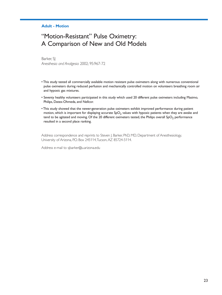#### **Adult - Motion**

# "Motion-Resistant" Pulse Oximetry: A Comparison of New and Old Models

Barker, SI Anesthesia and Analgesia 2002; 95:967-72

- . This study tested all commercially available motion resistant pulse oximeters along with numerous conventional pulse oximeters during reduced perfusion and mechanically controlled motion on volunteers breathing room air and hypoxic gas mixtures.
- Seventy healthy volunteers participated in this study which used 20 different pulse oximeters including Masimo, Philips, Datex-Ohmeda, and Nellcor.
- . This study showed that the newer-generation pulse oximeters exhibit improved performance during patient motion, which is important for displaying accurate SpO<sub>2</sub> values with hypoxic patients when they are awake and tend to be agitated and moving. Of the 20 different oximeters tested, the Philips overall  $SpO<sub>2</sub>$  performance resulted in a second place ranking.

Address correspondence and reprints to Steven J. Barker, PhD, MD, Department of Anesthesiology, University of Arizona, P.O. Box 245114, Tucson, AZ 85724-5114.

Address e-mail to sjbarker@u.arizona.edu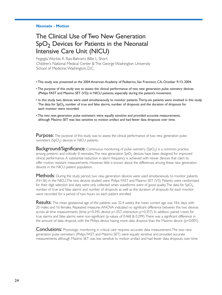#### **Neonate - Motion**

# The Clinical Use of Two New Generation SpO<sub>2</sub> Devices for Patients in the Neonatal Intensive Care Unit (NICU)

Fegegta Workie, K. Rais-Bahrami, Billie L. Short. Children's National Medical Center & The George Washington University School of Medicine, Washington, D.C.

. This study was presented at the 2004 American Academy of Pediatrics, San Francisco, CA, October 9-13, 2004.

- The purpose of this study was to assess the clinical performance of two new generation pulse oximetry devices (Philips FAST and Masimo SET (V3)) in NICU patients, especially during the patient's movement.
- In this study two devices were used simultaneously to monitor patients. Thirty-six patients were involved in this study. The data for  $SpO<sub>2</sub>$ , number of true and false alarms, number of dropouts and the duration of dropouts for each monitor were recorded.
- . The two new generation pulse oximeters were equally sensitive and provided accurate measurements, although Masimo SET was less sensitive to motion artifact and had fewer data dropouts over time.

**Purpose:** The purpose of this study was to assess the clinical performance of two new generation pulse oximeters  $(SpO<sub>2</sub>)$  devices in NICU patients.

**Background/Significance:** Continuous monitoring of pulse oximetry (SpO<sub>2</sub>) is a common practice among preterm and critically ill neonates. The new generation  $SpO<sub>2</sub>$  devices have been designed for improved clinical performance. A substantial reduction in alarm frequency is achieved with newer devices that claim to offer motion resistant measurements. However, little is known about the differences among these new generation devices in the NICU patient population.

Methods: During the study period, two new generation devices were used simultaneously to monitor patients (N=36) in the NICU. The two devices studied were Philips FAST and Masimo SET (V3). Patients were randomized for their digit selection and data were only collected when waveforms were of good quality. The data for  $SpO<sub>2</sub>$ , number of true and false alarms and number of dropouts as well as the duration of dropouts for each monitor were recorded for a period of two hours on each patient enrolled.

**Results:** The mean gestational age of the patients was 32.4 weeks, the mean current age was 18.6 days, with 20 males and 16 females. Repeated measures ANOVA indicated no significant difference between the two devices across all time measurements (time: p=0.345, device: p=.057, interaction: p=0.357). In addition, paired t-tests for true alarms and false alarms were non-significant (p-values of 0.468 & 0.299). There was a significant difference in the amount of data dropout, with the Philips device having more data dropout than the Masimo device ( $p<0.001$ ).

**Conclusions:** Physiologic monitoring in critical care requires accurate data measurement. The two new generation pulse oximeters (Philips FAST and Masimo SET) were equally sensitive and provided accurate measurements, although Masimo SET was less sensitive to motion artifact and had fewer data dropouts over time.